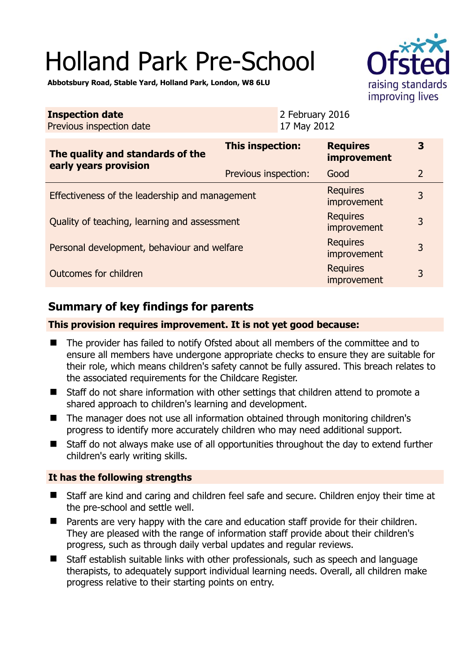# Holland Park Pre-School



**Abbotsbury Road, Stable Yard, Holland Park, London, W8 6LU** 

| <b>Inspection date</b><br>Previous inspection date        |                         | 2 February 2016<br>17 May 2012 |                                       |                |
|-----------------------------------------------------------|-------------------------|--------------------------------|---------------------------------------|----------------|
| The quality and standards of the<br>early years provision | <b>This inspection:</b> |                                | <b>Requires</b><br><b>improvement</b> | 3              |
|                                                           | Previous inspection:    |                                | Good                                  | $\overline{2}$ |
| Effectiveness of the leadership and management            |                         |                                | <b>Requires</b><br>improvement        | 3              |
| Quality of teaching, learning and assessment              |                         |                                | <b>Requires</b><br>improvement        | 3              |
| Personal development, behaviour and welfare               |                         |                                | <b>Requires</b><br>improvement        | 3              |
| <b>Outcomes for children</b>                              |                         |                                | <b>Requires</b><br>improvement        | 3              |

# **Summary of key findings for parents**

### **This provision requires improvement. It is not yet good because:**

- The provider has failed to notify Ofsted about all members of the committee and to ensure all members have undergone appropriate checks to ensure they are suitable for their role, which means children's safety cannot be fully assured. This breach relates to the associated requirements for the Childcare Register.
- Staff do not share information with other settings that children attend to promote a shared approach to children's learning and development.
- The manager does not use all information obtained through monitoring children's progress to identify more accurately children who may need additional support.
- Staff do not always make use of all opportunities throughout the day to extend further children's early writing skills.

### **It has the following strengths**

- Staff are kind and caring and children feel safe and secure. Children enjoy their time at the pre-school and settle well.
- Parents are very happy with the care and education staff provide for their children. They are pleased with the range of information staff provide about their children's progress, such as through daily verbal updates and regular reviews.
- Staff establish suitable links with other professionals, such as speech and language therapists, to adequately support individual learning needs. Overall, all children make progress relative to their starting points on entry.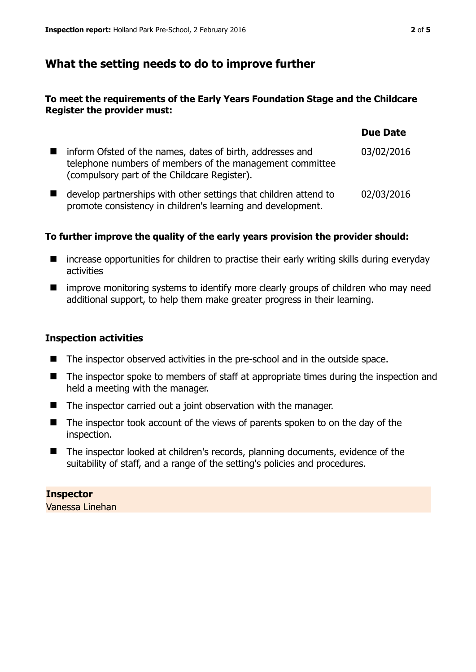## **What the setting needs to do to improve further**

### **To meet the requirements of the Early Years Foundation Stage and the Childcare Register the provider must:**

|       |                                                                                                                                                                       | <b>Due Date</b> |
|-------|-----------------------------------------------------------------------------------------------------------------------------------------------------------------------|-----------------|
| a ser | inform Ofsted of the names, dates of birth, addresses and<br>telephone numbers of members of the management committee<br>(compulsory part of the Childcare Register). | 03/02/2016      |
|       | develop partnerships with other settings that children attend to<br>promote consistency in children's learning and development.                                       | 02/03/2016      |

### **To further improve the quality of the early years provision the provider should:**

- $\blacksquare$  increase opportunities for children to practise their early writing skills during everyday activities
- **If** improve monitoring systems to identify more clearly groups of children who may need additional support, to help them make greater progress in their learning.

### **Inspection activities**

- The inspector observed activities in the pre-school and in the outside space.
- The inspector spoke to members of staff at appropriate times during the inspection and held a meeting with the manager.
- The inspector carried out a joint observation with the manager.
- The inspector took account of the views of parents spoken to on the day of the inspection.
- The inspector looked at children's records, planning documents, evidence of the suitability of staff, and a range of the setting's policies and procedures.

# **Inspector**

Vanessa Linehan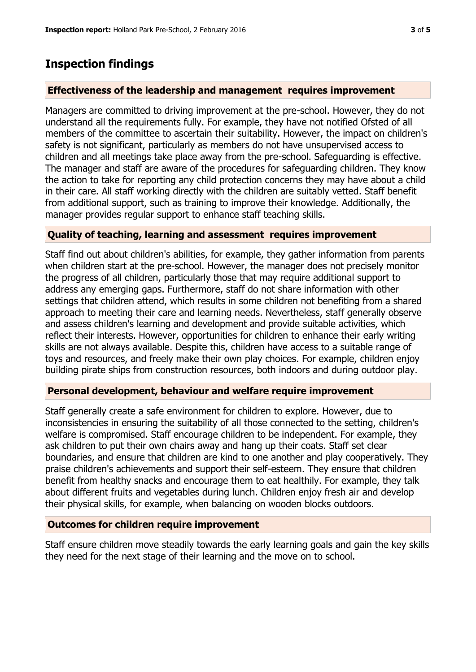### **Inspection findings**

### **Effectiveness of the leadership and management requires improvement**

Managers are committed to driving improvement at the pre-school. However, they do not understand all the requirements fully. For example, they have not notified Ofsted of all members of the committee to ascertain their suitability. However, the impact on children's safety is not significant, particularly as members do not have unsupervised access to children and all meetings take place away from the pre-school. Safeguarding is effective. The manager and staff are aware of the procedures for safeguarding children. They know the action to take for reporting any child protection concerns they may have about a child in their care. All staff working directly with the children are suitably vetted. Staff benefit from additional support, such as training to improve their knowledge. Additionally, the manager provides regular support to enhance staff teaching skills.

### **Quality of teaching, learning and assessment requires improvement**

Staff find out about children's abilities, for example, they gather information from parents when children start at the pre-school. However, the manager does not precisely monitor the progress of all children, particularly those that may require additional support to address any emerging gaps. Furthermore, staff do not share information with other settings that children attend, which results in some children not benefiting from a shared approach to meeting their care and learning needs. Nevertheless, staff generally observe and assess children's learning and development and provide suitable activities, which reflect their interests. However, opportunities for children to enhance their early writing skills are not always available. Despite this, children have access to a suitable range of toys and resources, and freely make their own play choices. For example, children enjoy building pirate ships from construction resources, both indoors and during outdoor play.

### **Personal development, behaviour and welfare require improvement**

Staff generally create a safe environment for children to explore. However, due to inconsistencies in ensuring the suitability of all those connected to the setting, children's welfare is compromised. Staff encourage children to be independent. For example, they ask children to put their own chairs away and hang up their coats. Staff set clear boundaries, and ensure that children are kind to one another and play cooperatively. They praise children's achievements and support their self-esteem. They ensure that children benefit from healthy snacks and encourage them to eat healthily. For example, they talk about different fruits and vegetables during lunch. Children enjoy fresh air and develop their physical skills, for example, when balancing on wooden blocks outdoors.

#### **Outcomes for children require improvement**

Staff ensure children move steadily towards the early learning goals and gain the key skills they need for the next stage of their learning and the move on to school.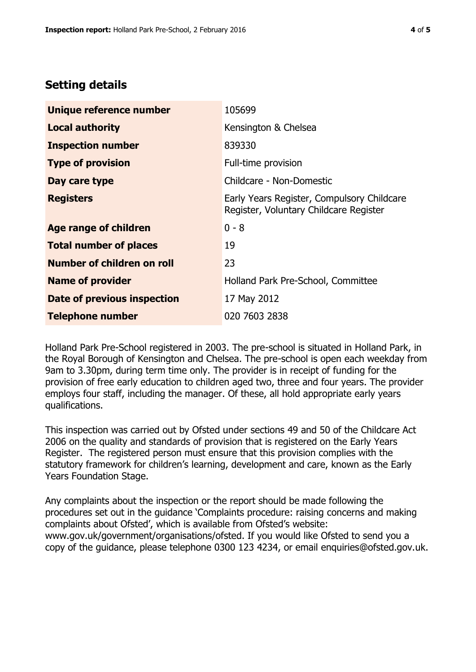# **Setting details**

| Unique reference number            | 105699                                                                               |
|------------------------------------|--------------------------------------------------------------------------------------|
| <b>Local authority</b>             | Kensington & Chelsea                                                                 |
| <b>Inspection number</b>           | 839330                                                                               |
| <b>Type of provision</b>           | Full-time provision                                                                  |
| Day care type                      | Childcare - Non-Domestic                                                             |
| <b>Registers</b>                   | Early Years Register, Compulsory Childcare<br>Register, Voluntary Childcare Register |
| <b>Age range of children</b>       | $0 - 8$                                                                              |
| <b>Total number of places</b>      | 19                                                                                   |
| Number of children on roll         | 23                                                                                   |
| <b>Name of provider</b>            | Holland Park Pre-School, Committee                                                   |
| <b>Date of previous inspection</b> | 17 May 2012                                                                          |
| <b>Telephone number</b>            | 020 7603 2838                                                                        |

Holland Park Pre-School registered in 2003. The pre-school is situated in Holland Park, in the Royal Borough of Kensington and Chelsea. The pre-school is open each weekday from 9am to 3.30pm, during term time only. The provider is in receipt of funding for the provision of free early education to children aged two, three and four years. The provider employs four staff, including the manager. Of these, all hold appropriate early years qualifications.

This inspection was carried out by Ofsted under sections 49 and 50 of the Childcare Act 2006 on the quality and standards of provision that is registered on the Early Years Register. The registered person must ensure that this provision complies with the statutory framework for children's learning, development and care, known as the Early Years Foundation Stage.

Any complaints about the inspection or the report should be made following the procedures set out in the guidance 'Complaints procedure: raising concerns and making complaints about Ofsted', which is available from Ofsted's website: www.gov.uk/government/organisations/ofsted. If you would like Ofsted to send you a copy of the guidance, please telephone 0300 123 4234, or email enquiries@ofsted.gov.uk.